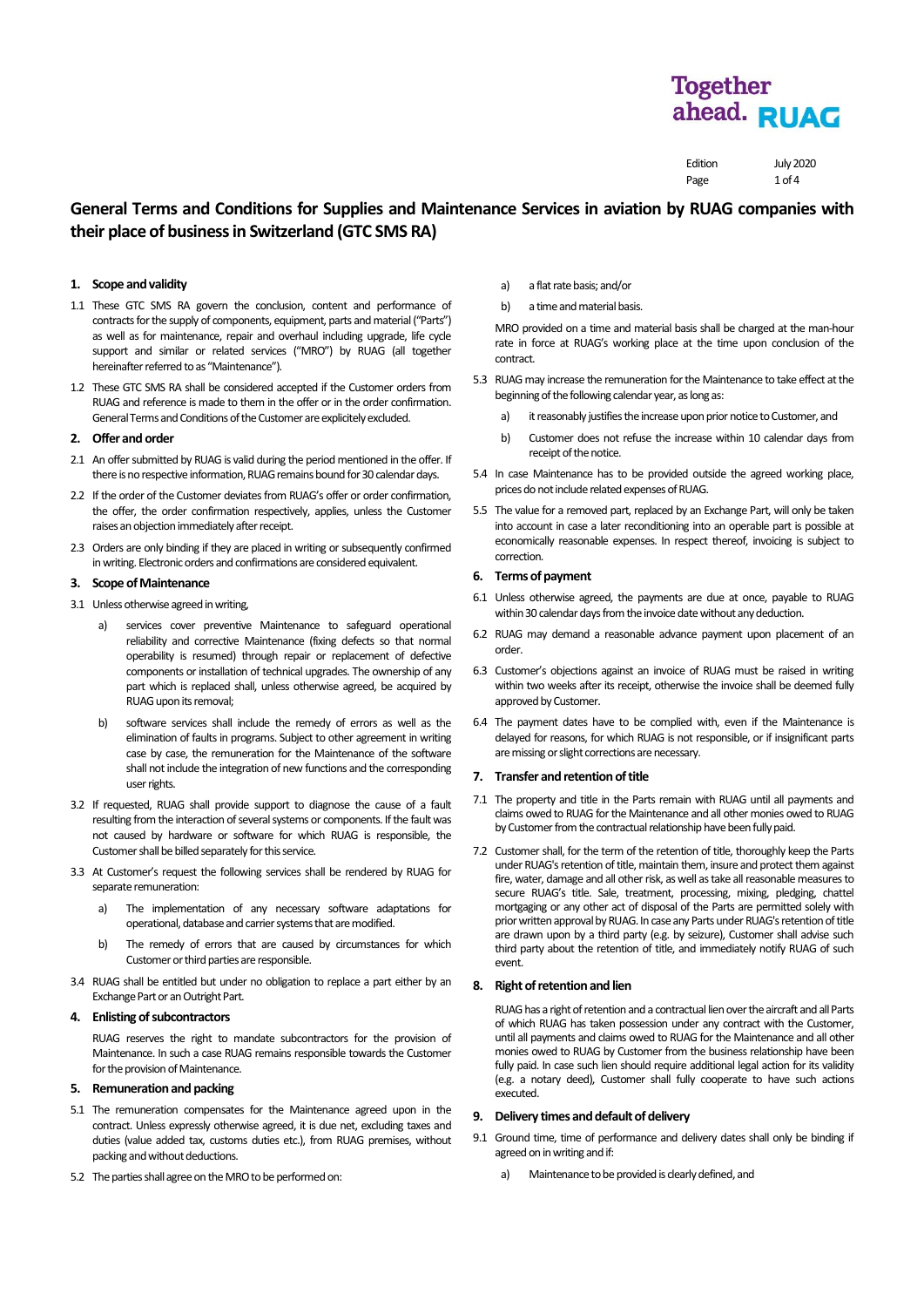Edition July 2020 Page 1 of 4

## **General Terms and Conditions for Supplies and Maintenance Services in aviation by RUAG companies with their place of business in Switzerland (GTC SMS RA)**

### **1. Scope and validity**

- 1.1 These GTC SMS RA govern the conclusion, content and performance of contracts for the supply of components, equipment, parts and material ("Parts") as well as for maintenance, repair and overhaul including upgrade, life cycle support and similar or related services ("MRO") by RUAG (all together hereinafter referred to as "Maintenance").
- 1.2 These GTC SMS RA shall be considered accepted if the Customer orders from RUAG and reference is made to them in the offer or in the order confirmation. General Terms and Conditions of the Customer are explicitely excluded.

### **2. Offer and order**

- 2.1 An offer submitted by RUAG is valid during the period mentioned in the offer. If there is no respective information, RUAG remains bound for 30 calendar days.
- 2.2 If the order of the Customer deviates from RUAG's offer or order confirmation, the offer, the order confirmation respectively, applies, unless the Customer raises an objection immediately after receipt.
- 2.3 Orders are only binding if they are placed in writing or subsequently confirmed in writing. Electronic orders and confirmations are considered equivalent.

### **3. Scope of Maintenance**

- 3.1 Unless otherwise agreed in writing,
	- services cover preventive Maintenance to safeguard operational reliability and corrective Maintenance (fixing defects so that normal operability is resumed) through repair or replacement of defective components or installation of technical upgrades. The ownership of any part which is replaced shall, unless otherwise agreed, be acquired by RUAG upon its removal;
	- b) software services shall include the remedy of errors as well as the elimination of faults in programs. Subject to other agreement in writing case by case, the remuneration for the Maintenance of the software shall not include the integration of new functions and the corresponding user rights.
- 3.2 If requested, RUAG shall provide support to diagnose the cause of a fault resulting from the interaction of several systems or components. If the fault was not caused by hardware or software for which RUAG is responsible, the Customer shall be billed separately for this service.
- 3.3 At Customer's request the following services shall be rendered by RUAG for separate remuneration:
	- a) The implementation of any necessary software adaptations for operational, database and carrier systems that are modified.
	- b) The remedy of errors that are caused by circumstances for which Customer or third parties are responsible.
- 3.4 RUAG shall be entitled but under no obligation to replace a part either by an Exchange Part or an Outright Part.

### **4. Enlisting of subcontractors**

RUAG reserves the right to mandate subcontractors for the provision of Maintenance. In such a case RUAG remains responsible towards the Customer for the provision of Maintenance.

### **5.** Remuneration and packing

- 5.1 The remuneration compensates for the Maintenance agreed upon in the contract. Unless expressly otherwise agreed, it is due net, excluding taxes and duties (value added tax, customs duties etc.), from RUAG premises, without packing and without deductions.
- 5.2 The parties shall agree on the MRO to be performed on:
- a) a flat rate basis; and/or
- b) a time and material basis.

MRO provided on a time and material basis shall be charged at the man-hour rate in force at RUAG's working place at the time upon conclusion of the contract.

- 5.3 RUAG may increase the remuneration for the Maintenance to take effect at the beginning of the following calendar year, as long as:
	- a) it reasonably justifies the increase upon prior notice to Customer, and
	- b) Customer does not refuse the increase within 10 calendar days from receipt of the notice.
- 5.4 In case Maintenance has to be provided outside the agreed working place, prices do not include related expenses of RUAG.
- 5.5 The value for a removed part, replaced by an Exchange Part, will only be taken into account in case a later reconditioning into an operable part is possible at economically reasonable expenses. In respect thereof, invoicing is subject to correction.

### **6. Terms of payment**

- 6.1 Unless otherwise agreed, the payments are due at once, payable to RUAG within 30 calendar days from the invoice date without any deduction.
- 6.2 RUAG may demand a reasonable advance payment upon placement of an order.
- 6.3 Customer's objections against an invoice of RUAG must be raised in writing within two weeks after its receipt, otherwise the invoice shall be deemed fully approved by Customer.
- 6.4 The payment dates have to be complied with, even if the Maintenance is delayed for reasons, for which RUAG is not responsible, or if insignificant parts are missing or slight corrections are necessary.

## **7. Transfer and retention of title**

- 7.1 The property and title in the Parts remain with RUAG until all payments and claims owed to RUAG for the Maintenance and all other monies owed to RUAG by Customer from the contractual relationship have been fully paid.
- 7.2 Customer shall, for the term of the retention of title, thoroughly keep the Parts under RUAG's retention of title, maintain them, insure and protect them against fire, water, damage and all other risk, as well as take all reasonable measures to secure RUAG's title. Sale, treatment, processing, mixing, pledging, chattel mortgaging or any other act of disposal of the Parts are permitted solely with prior written approval by RUAG. In case any Parts under RUAG's retention of title are drawn upon by a third party (e.g. by seizure), Customer shall advise such third party about the retention of title, and immediately notify RUAG of such event.

#### **8. Right of retentionand lien**

RUAG has a right of retention and a contractual lien over the aircraft and all Parts of which RUAG has taken possession under any contract with the Customer, until all payments and claims owed to RUAG for the Maintenance and all other monies owed to RUAG by Customer from the business relationship have been fully paid. In case such lien should require additional legal action for its validity (e.g. a notary deed), Customer shall fully cooperate to have such actions executed.

## **9. Delivery times and default of delivery**

- 9.1 Ground time, time of performance and delivery dates shall only be binding if agreed on in writing and if:
	- Maintenance to be provided is clearly defined, and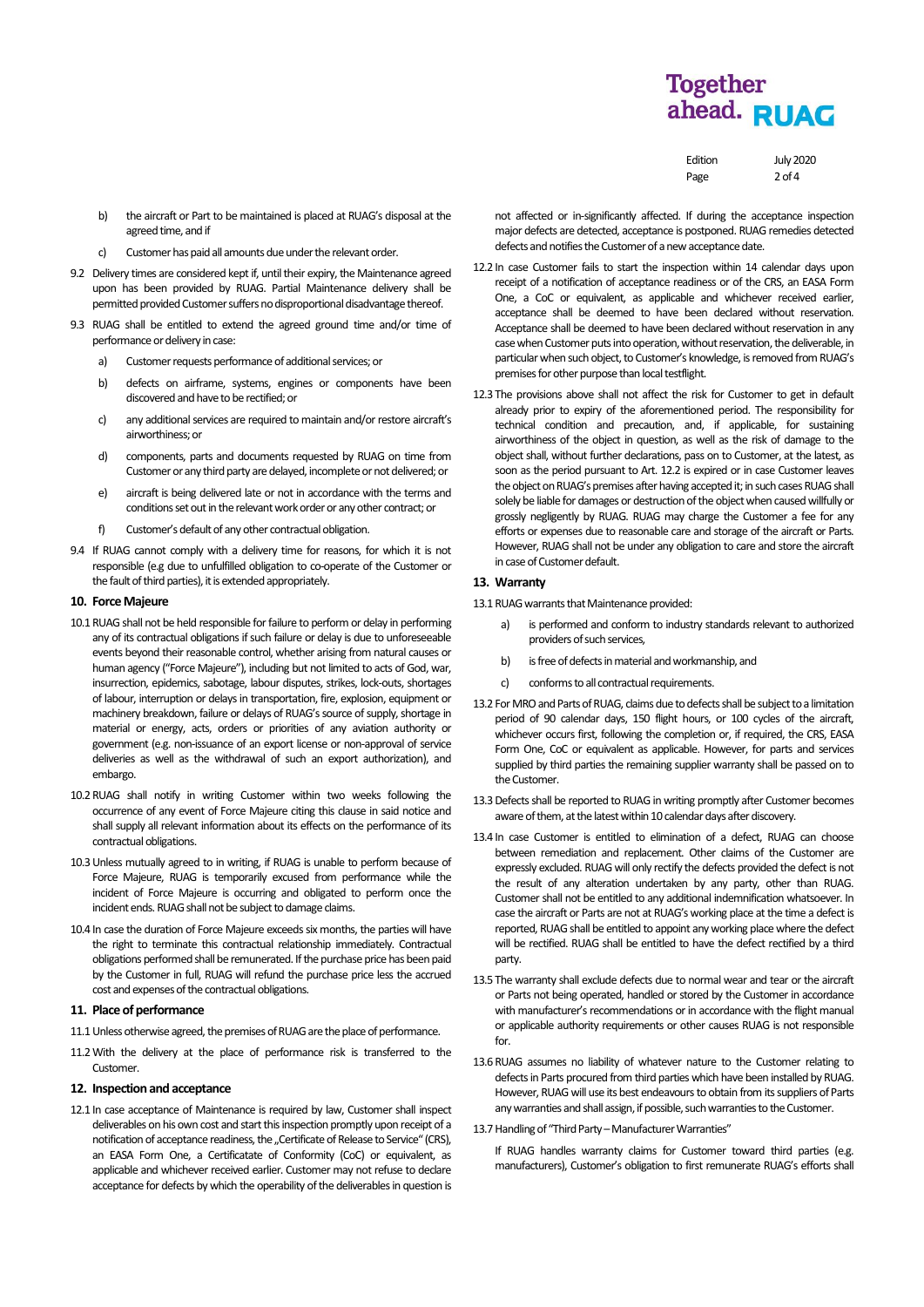| Edition | <b>July 2020</b> |
|---------|------------------|
| Page    | $2$ of 4         |

- b) the aircraft or Part to be maintained is placed at RUAG's disposal at the agreed time, and if
- c) Customer has paid all amounts due under the relevant order.
- 9.2 Delivery times are considered kept if, until their expiry, the Maintenance agreed upon has been provided by RUAG. Partial Maintenance delivery shall be permitted provided Customer suffers no disproportional disadvantage thereof.
- 9.3 RUAG shall be entitled to extend the agreed ground time and/or time of performance or delivery in case:
	- a) Customer requests performance of additional services; or
	- b) defects on airframe, systems, engines or components have been discovered and have to be rectified; or
	- c) any additional services are required to maintain and/or restore aircraft's airworthiness; or
	- d) components, parts and documents requested by RUAG on time from Customer or any third party are delayed, incomplete or not delivered; or
	- e) aircraft is being delivered late or not in accordance with the terms and conditions set out in the relevant work order or any other contract; or
	- f) Customer's default of any other contractual obligation.
- 9.4 If RUAG cannot comply with a delivery time for reasons, for which it is not responsible (e.g due to unfulfilled obligation to co-operate of the Customer or the fault of third parties), it is extended appropriately.

### **10. Force Majeure**

- 10.1RUAG shall not be held responsible for failure to perform or delay in performing any of its contractual obligations if such failure or delay is due to unforeseeable events beyond their reasonable control, whether arising from natural causes or human agency ("Force Majeure"), including but not limited to acts of God, war, insurrection, epidemics, sabotage, labour disputes, strikes, lock-outs, shortages of labour, interruption or delays in transportation, fire, explosion, equipment or machinery breakdown, failure or delays of RUAG's source of supply, shortage in material or energy, acts, orders or priorities of any aviation authority or government (e.g. non-issuance of an export license or non-approval of service deliveries as well as the withdrawal of such an export authorization), and embargo.
- 10.2RUAG shall notify in writing Customer within two weeks following the occurrence of any event of Force Majeure citing this clause in said notice and shall supply all relevant information about its effects on the performance of its contractual obligations.
- 10.3Unless mutually agreed to in writing, if RUAG is unable to perform because of Force Majeure, RUAG is temporarily excused from performance while the incident of Force Majeure is occurring and obligated to perform once the incident ends. RUAG shall not be subject to damage claims.
- 10.4 In case the duration of Force Majeure exceeds six months, the parties will have the right to terminate this contractual relationship immediately. Contractual obligations performed shall be remunerated. If the purchase price has been paid by the Customer in full, RUAG will refund the purchase price less the accrued cost and expenses of the contractual obligations.

### **11. Place of performance**

- 11.1 Unless otherwise agreed, the premises of RUAG are the place of performance.
- 11.2With the delivery at the place of performance risk is transferred to the Customer.

#### **12. Inspection and acceptance**

12.1 In case acceptance of Maintenance is required by law, Customer shall inspect deliverables on his own cost and start this inspection promptly upon receipt of a notification of acceptance readiness, the "Certificate of Release to Service" (CRS), an EASA Form One, a Certificatate of Conformity (CoC) or equivalent, as applicable and whichever received earlier. Customer may not refuse to declare acceptance for defects by which the operability of the deliverables in question is

not affected or in-significantly affected. If during the acceptance inspection major defects are detected, acceptance is postponed. RUAG remedies detected defects and notifies the Customer of a new acceptance date.

- <span id="page-1-0"></span>12.2 In case Customer fails to start the inspection within 14 calendar days upon receipt of a notification of acceptance readiness or of the CRS, an EASA Form One, a CoC or equivalent, as applicable and whichever received earlier, acceptance shall be deemed to have been declared without reservation. Acceptance shall be deemed to have been declared without reservation in any case when Customer puts into operation, without reservation, the deliverable, in particular when such object, to Customer's knowledge, is removed from RUAG's premises for other purpose than local testflight.
- 12.3 The provisions above shall not affect the risk for Customer to get in default already prior to expiry of the aforementioned period. The responsibility for technical condition and precaution, and, if applicable, for sustaining airworthiness of the object in question, as well as the risk of damage to the object shall, without further declarations, pass on to Customer, at the latest, as soon as the period pursuant to Art. [12.2](#page-1-0) is expired or in case Customer leaves the object on RUAG's premises after having accepted it; in such cases RUAG shall solely be liable for damages or destruction of the object when caused willfully or grossly negligently by RUAG. RUAG may charge the Customer a fee for any efforts or expenses due to reasonable care and storage of the aircraft or Parts. However, RUAG shall not be under any obligation to care and store the aircraft in case of Customer default.

### **13. Warranty**

13.1 RUAG warrants that Maintenance provided:

- a) is performed and conform to industry standards relevant to authorized providers of such services,
- b) is free of defects in material and workmanship, and
- c) conforms to all contractual requirements.
- 13.2 For MRO and Parts of RUAG, claims due to defects shall be subject to a limitation period of 90 calendar days, 150 flight hours, or 100 cycles of the aircraft, whichever occurs first, following the completion or, if required, the CRS, EASA Form One, CoC or equivalent as applicable. However, for parts and services supplied by third parties the remaining supplier warranty shall be passed on to the Customer.
- 13.3Defects shall be reported to RUAG in writing promptly after Customer becomes aware of them, at the latest within 10 calendar days after discovery.
- 13.4 In case Customer is entitled to elimination of a defect, RUAG can choose between remediation and replacement. Other claims of the Customer are expressly excluded. RUAG will only rectify the defects provided the defect is not the result of any alteration undertaken by any party, other than RUAG. Customer shall not be entitled to any additional indemnification whatsoever. In case the aircraft or Parts are not at RUAG's working place at the time a defect is reported, RUAG shall be entitled to appoint any working place where the defect will be rectified. RUAG shall be entitled to have the defect rectified by a third party.
- 13.5 The warranty shall exclude defects due to normal wear and tear or the aircraft or Parts not being operated, handled or stored by the Customer in accordance with manufacturer's recommendations or in accordance with the flight manual or applicable authority requirements or other causes RUAG is not responsible for.
- 13.6RUAG assumes no liability of whatever nature to the Customer relating to defects in Parts procured from third parties which have been installed by RUAG. However, RUAG will use its best endeavours to obtain from its suppliers of Parts any warranties and shall assign, if possible, such warranties to the Customer.
- 13.7 Handling of "Third Party Manufacturer Warranties"

If RUAG handles warranty claims for Customer toward third parties (e.g. manufacturers), Customer's obligation to first remunerate RUAG's efforts shall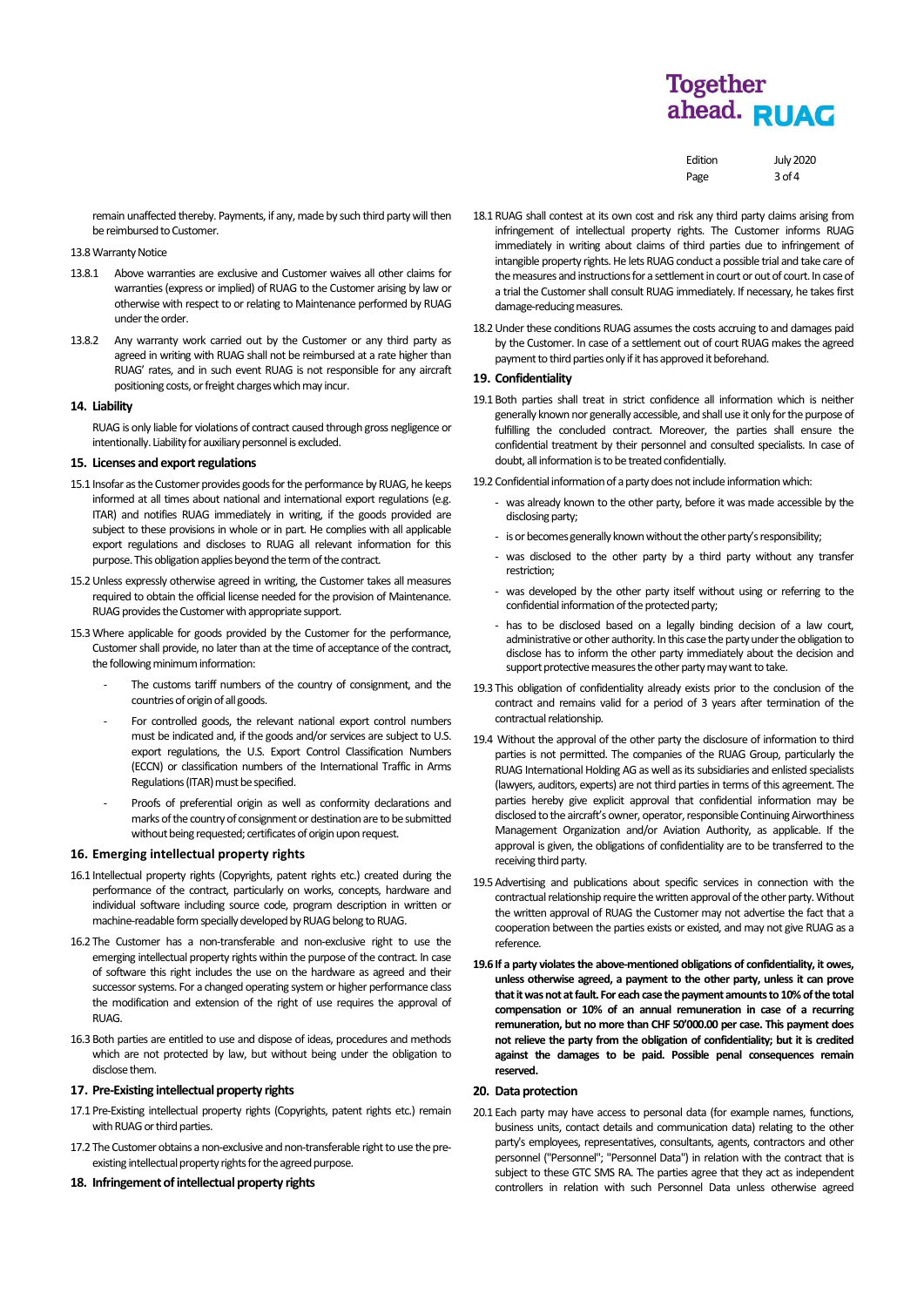| Edition | <b>July 2020</b> |
|---------|------------------|
| Page    | $3$ of 4         |

remain unaffected thereby. Payments, if any, made by such third party will then be reimbursed to Customer.

### 13.8Warranty Notice

- 13.8.1 Above warranties are exclusive and Customer waives all other claims for warranties (express or implied) of RUAG to the Customer arising by law or otherwise with respect to or relating to Maintenance performed by RUAG under the order.
- 13.8.2 Any warranty work carried out by the Customer or any third party as agreed in writing with RUAG shall not be reimbursed at a rate higher than RUAG' rates, and in such event RUAG is not responsible for any aircraft positioning costs, or freight charges which may incur.

#### **14. Liability**

RUAG is only liable for violations of contract caused through gross negligence or intentionally. Liability for auxiliary personnel is excluded.

### **15. Licenses and export regulations**

- 15.1 Insofar as the Customer provides goods for the performance by RUAG, he keeps informed at all times about national and international export regulations (e.g. ITAR) and notifies RUAG immediately in writing, if the goods provided are subject to these provisions in whole or in part. He complies with all applicable export regulations and discloses to RUAG all relevant information for this purpose. This obligation applies beyond the term of the contract.
- 15.2Unless expressly otherwise agreed in writing, the Customer takes all measures required to obtain the official license needed for the provision of Maintenance. RUAG provides the Customer with appropriate support.
- 15.3Where applicable for goods provided by the Customer for the performance, Customer shall provide, no later than at the time of acceptance of the contract, the following minimum information:
	- The customs tariff numbers of the country of consignment, and the countries of origin of all goods.
	- For controlled goods, the relevant national export control numbers must be indicated and, if the goods and/or services are subject to U.S. export regulations, the U.S. Export Control Classification Numbers (ECCN) or classification numbers of the International Traffic in Arms Regulations (ITAR) must be specified.
	- Proofs of preferential origin as well as conformity declarations and marks of the country of consignment or destination are to be submitted without being requested; certificates of origin upon request.

## **16. Emerging intellectual property rights**

- 16.1 Intellectual property rights (Copyrights, patent rights etc.) created during the performance of the contract, particularly on works, concepts, hardware and individual software including source code, program description in written or machine-readable form specially developed by RUAG belong to RUAG.
- 16.2 The Customer has a non-transferable and non-exclusive right to use the emerging intellectual property rights within the purpose of the contract. In case of software this right includes the use on the hardware as agreed and their successor systems. For a changed operating system or higher performance class the modification and extension of the right of use requires the approval of RUAG.
- 16.3Both parties are entitled to use and dispose of ideas, procedures and methods which are not protected by law, but without being under the obligation to disclose them.

### 17. Pre-Existing intellectual property rights

- 17.1 Pre-Existing intellectual property rights (Copyrights, patent rights etc.) remain with RUAG or third parties.
- 17.2 The Customer obtains a non-exclusive and non-transferable right to use the preexisting intellectual property rights for the agreed purpose.

#### **18. Infringement of intellectual property rights**

- 18.1RUAG shall contest at its own cost and risk any third party claims arising from infringement of intellectual property rights. The Customer informs RUAG immediately in writing about claims of third parties due to infringement of intangible property rights. He lets RUAG conduct a possible trial and take care of the measures and instructions for a settlement in court or out of court. In case of a trial the Customer shall consult RUAG immediately. If necessary, he takes first damage-reducing measures.
- 18.2Under these conditions RUAG assumes the costs accruing to and damages paid by the Customer. In case of a settlement out of court RUAG makes the agreed payment to third parties only if it has approved it beforehand.

### **19. Confidentiality**

- 19.1Both parties shall treat in strict confidence all information which is neither generally known nor generally accessible, and shall use it only for the purpose of fulfilling the concluded contract. Moreover, the parties shall ensure the confidential treatment by their personnel and consulted specialists. In case of doubt, all information is to be treated confidentially.
- 19.2 Confidential information of a party does not include information which:
	- was already known to the other party, before it was made accessible by the disclosing party;
	- is or becomes generally known without the other party's responsibility;
	- was disclosed to the other party by a third party without any transfer restriction;
	- was developed by the other party itself without using or referring to the confidential information of the protected party;
	- has to be disclosed based on a legally binding decision of a law court, administrative or other authority. In this case the party under the obligation to disclose has to inform the other party immediately about the decision and support protective measures the other party may want to take.
- 19.3 This obligation of confidentiality already exists prior to the conclusion of the contract and remains valid for a period of 3 years after termination of the contractual relationship.
- 19.4 Without the approval of the other party the disclosure of information to third parties is not permitted. The companies of the RUAG Group, particularly the RUAG International Holding AG as well as its subsidiaries and enlisted specialists (lawyers, auditors, experts) are not third parties in terms of this agreement. The parties hereby give explicit approval that confidential information may be disclosed to the aircraft's owner, operator, responsible Continuing Airworthiness Management Organization and/or Aviation Authority, as applicable. If the approval is given, the obligations of confidentiality are to be transferred to the receiving third party.
- 19.5Advertising and publications about specific services in connection with the contractual relationship require the written approval of the other party. Without the written approval of RUAG the Customer may not advertise the fact that a cooperation between the parties exists or existed, and may not give RUAG as a reference.
- **19.6If a party violates the above-mentioned obligations of confidentiality, it owes, unless otherwise agreed, a payment to the other party, unless it can prove that it was not at fault. For each case the payment amounts to 10% of the total compensation or 10% of an annual remuneration in case of a recurring remuneration, but no more than CHF 50'000.00 per case. This payment does not relieve the party from the obligation of confidentiality; but it is credited against the damages to be paid. Possible penal consequences remain reserved.**

## **20. Data protection**

20.1 Each party may have access to personal data (for example names, functions, business units, contact details and communication data) relating to the other party's employees, representatives, consultants, agents, contractors and other personnel ("Personnel"; "Personnel Data") in relation with the contract that is subject to these GTC SMS RA. The parties agree that they act as independent controllers in relation with such Personnel Data unless otherwise agreed